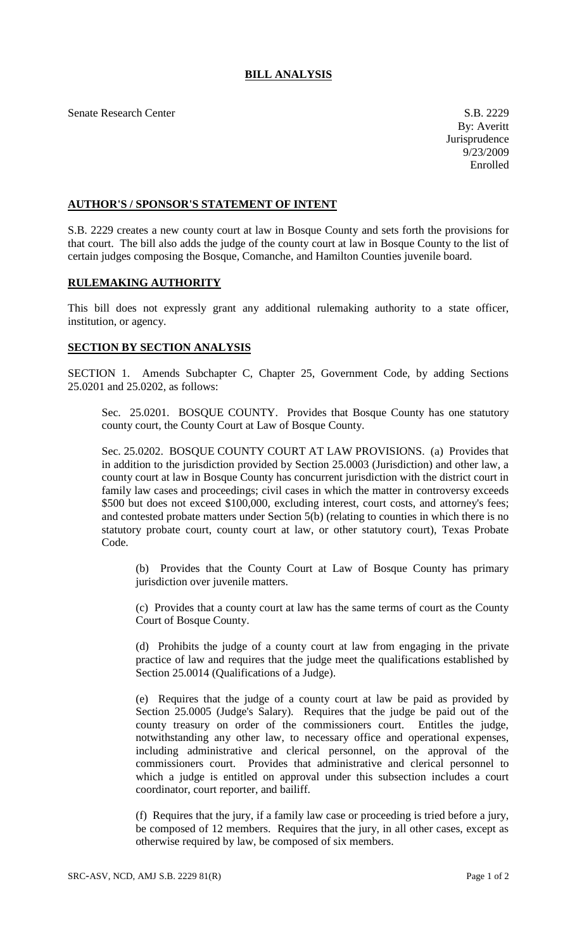## **BILL ANALYSIS**

Senate Research Center S.B. 2229

## **AUTHOR'S / SPONSOR'S STATEMENT OF INTENT**

S.B. 2229 creates a new county court at law in Bosque County and sets forth the provisions for that court. The bill also adds the judge of the county court at law in Bosque County to the list of certain judges composing the Bosque, Comanche, and Hamilton Counties juvenile board.

## **RULEMAKING AUTHORITY**

This bill does not expressly grant any additional rulemaking authority to a state officer, institution, or agency.

## **SECTION BY SECTION ANALYSIS**

SECTION 1. Amends Subchapter C, Chapter 25, Government Code, by adding Sections 25.0201 and 25.0202, as follows:

Sec. 25.0201. BOSQUE COUNTY. Provides that Bosque County has one statutory county court, the County Court at Law of Bosque County.

Sec. 25.0202. BOSQUE COUNTY COURT AT LAW PROVISIONS. (a) Provides that in addition to the jurisdiction provided by Section 25.0003 (Jurisdiction) and other law, a county court at law in Bosque County has concurrent jurisdiction with the district court in family law cases and proceedings; civil cases in which the matter in controversy exceeds \$500 but does not exceed \$100,000, excluding interest, court costs, and attorney's fees; and contested probate matters under Section 5(b) (relating to counties in which there is no statutory probate court, county court at law, or other statutory court), Texas Probate Code.

(b) Provides that the County Court at Law of Bosque County has primary jurisdiction over juvenile matters.

(c) Provides that a county court at law has the same terms of court as the County Court of Bosque County.

(d) Prohibits the judge of a county court at law from engaging in the private practice of law and requires that the judge meet the qualifications established by Section 25.0014 (Qualifications of a Judge).

(e) Requires that the judge of a county court at law be paid as provided by Section 25.0005 (Judge's Salary). Requires that the judge be paid out of the county treasury on order of the commissioners court. Entitles the judge, notwithstanding any other law, to necessary office and operational expenses, including administrative and clerical personnel, on the approval of the commissioners court. Provides that administrative and clerical personnel to which a judge is entitled on approval under this subsection includes a court coordinator, court reporter, and bailiff.

(f) Requires that the jury, if a family law case or proceeding is tried before a jury, be composed of 12 members. Requires that the jury, in all other cases, except as otherwise required by law, be composed of six members.